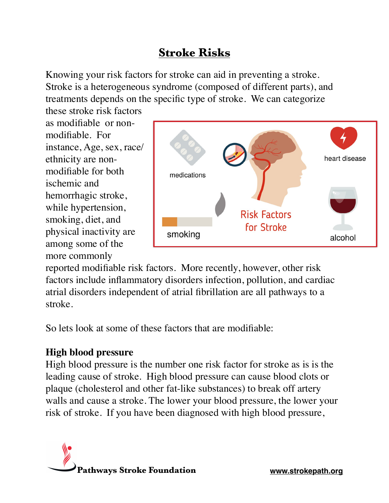# **Stroke Risks**

Knowing your risk factors for stroke can aid in preventing a stroke. Stroke is a heterogeneous syndrome (composed of different parts), and treatments depends on the specific type of stroke. We can categorize

these stroke risk factors as modifiable or nonmodifiable. For instance, Age, sex, race/ ethnicity are nonmodifiable for both ischemic and hemorrhagic stroke, while hypertension, smoking, diet, and physical inactivity are among some of the more commonly



reported modifiable risk factors. More recently, however, other risk factors include inflammatory disorders infection, pollution, and cardiac atrial disorders independent of atrial fibrillation are all pathways to a stroke.

So lets look at some of these factors that are modifiable:

## **High blood pressure**

High blood pressure is the number one risk factor for stroke as is is the leading cause of stroke. High blood pressure can cause blood clots or plaque (cholesterol and other fat-like substances) to break off artery walls and cause a stroke. The lower your blood pressure, the lower your risk of stroke. If you have been diagnosed with high blood pressure,

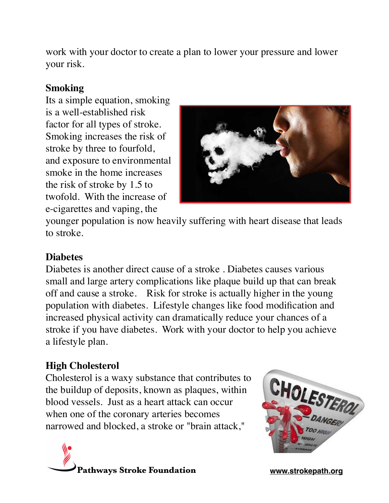work with your doctor to create a plan to lower your pressure and lower your risk.

#### **Smoking**

Its a simple equation, smoking is a well-established risk factor for all types of stroke. Smoking increases the risk of stroke by three to fourfold, and exposure to environmental smoke in the home increases the risk of stroke by 1.5 to twofold. With the increase of e-cigarettes and vaping, the



younger population is now heavily suffering with heart disease that leads to stroke.

#### **Diabetes**

Diabetes is another direct cause of a stroke . Diabetes causes various small and large artery complications like plaque build up that can break off and cause a stroke. Risk for stroke is actually higher in the young population with diabetes. Lifestyle changes like food modification and increased physical activity can dramatically reduce your chances of a stroke if you have diabetes. Work with your doctor to help you achieve a lifestyle plan.

#### **High Cholesterol**

Cholesterol is a waxy substance that contributes to the buildup of deposits, known as plaques, within blood vessels. Just as a heart attack can occur when one of the coronary arteries becomes narrowed and blocked, a stroke or "brain attack,"



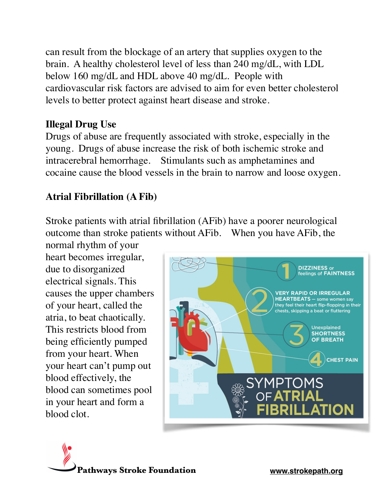can result from the blockage of an artery that supplies oxygen to the brain. A healthy cholesterol level of less than 240 mg/dL, with LDL below 160 mg/dL and HDL above 40 mg/dL. People with cardiovascular risk factors are advised to aim for even better cholesterol levels to better protect against heart disease and stroke.

#### **Illegal Drug Use**

Drugs of abuse are frequently associated with stroke, especially in the young. Drugs of abuse increase the risk of both ischemic stroke and intracerebral hemorrhage. Stimulants such as amphetamines and cocaine cause the blood vessels in the brain to narrow and loose oxygen.

## **Atrial Fibrillation (A Fib)**

Stroke patients with atrial fibrillation (AFib) have a poorer neurological outcome than stroke patients without AFib. When you have AFib, the

normal rhythm of your heart becomes irregular, due to disorganized electrical signals. This causes the upper chambers of your heart, called the atria, to beat chaotically. This restricts blood from being efficiently pumped from your heart. When your heart can't pump out blood effectively, the blood can sometimes pool in your heart and form a blood clot.



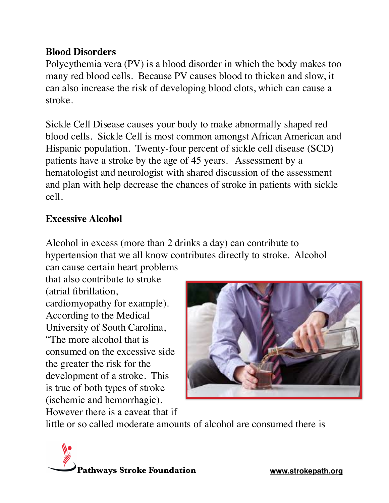#### **Blood Disorders**

Polycythemia vera (PV) is a blood disorder in which the body makes too many red blood cells. Because PV causes blood to thicken and slow, it can also increase the risk of developing blood clots, which can cause a stroke.

Sickle Cell Disease causes your body to make abnormally shaped red blood cells. Sickle Cell is most common amongst African American and Hispanic population. Twenty-four percent of sickle cell disease (SCD) patients have a stroke by the age of 45 years. Assessment by a hematologist and neurologist with shared discussion of the assessment and plan with help decrease the chances of stroke in patients with sickle cell.

#### **Excessive Alcohol**

Alcohol in excess (more than 2 drinks a day) can contribute to hypertension that we all know contributes directly to stroke. Alcohol can cause certain heart problems

that also contribute to stroke (atrial fibrillation, cardiomyopathy for example). According to the Medical University of South Carolina, "The more alcohol that is consumed on the excessive side the greater the risk for the development of a stroke. This is true of both types of stroke (ischemic and hemorrhagic). However there is a caveat that if



little or so called moderate amounts of alcohol are consumed there is

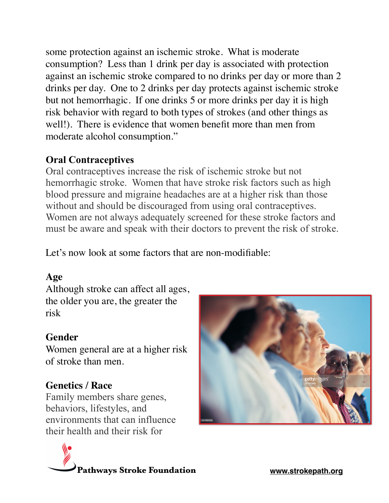some protection against an ischemic stroke. What is moderate consumption? Less than 1 drink per day is associated with protection against an ischemic stroke compared to no drinks per day or more than 2 drinks per day. One to 2 drinks per day protects against ischemic stroke but not hemorrhagic. If one drinks 5 or more drinks per day it is high risk behavior with regard to both types of strokes (and other things as well!). There is evidence that women benefit more than men from moderate alcohol consumption."

## **Oral Contraceptives**

Oral contraceptives increase the risk of ischemic stroke but not hemorrhagic stroke. Women that have stroke risk factors such as high blood pressure and migraine headaches are at a higher risk than those without and should be discouraged from using oral contraceptives. Women are not always adequately screened for these stroke factors and must be aware and speak with their doctors to prevent the risk of stroke.

Let's now look at some factors that are non-modifiable:

## **Age**

Although stroke can affect all ages, the older you are, the greater the risk

#### **Gender**

Women general are at a higher risk of stroke than men.

# **Genetics / Race**

Family members share genes, behaviors, lifestyles, and environments that can influence their health and their risk for